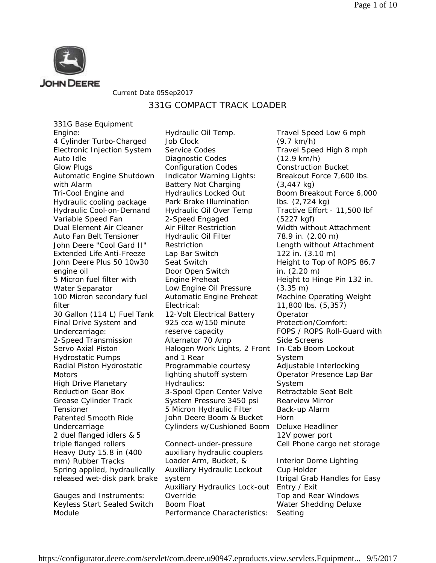

### Current Date 05Sep2017

## 331G COMPACT TRACK LOADER

331G Base Equipment Engine: 4 Cylinder Turbo-Charged Electronic Injection System Auto Idle Glow Plugs Automatic Engine Shutdown with Alarm Tri-Cool Engine and Hydraulic cooling package Hydraulic Cool-on-Demand Variable Speed Fan Dual Element Air Cleaner Auto Fan Belt Tensioner John Deere "Cool Gard II" Extended Life Anti-Freeze John Deere Plus 50 10w30 engine oil 5 Micron fuel filter with Water Separator 100 Micron secondary fuel filter 30 Gallon (114 L) Fuel Tank Final Drive System and Undercarriage: 2-Speed Transmission Servo Axial Piston Hydrostatic Pumps Radial Piston Hydrostatic **Motors** High Drive Planetary Reduction Gear Box Grease Cylinder Track Tensioner Patented Smooth Ride Undercarriage 2 duel flanged idlers & 5 triple flanged rollers Heavy Duty 15.8 in (400 mm) Rubber Tracks Spring applied, hydraulically released wet-disk park brake

Gauges and Instruments: Keyless Start Sealed Switch Module

Hydraulic Oil Temp. Job Clock Service Codes Diagnostic Codes Configuration Codes Indicator Warning Lights: Battery Not Charging Hydraulics Locked Out Park Brake Illumination Hydraulic Oil Over Temp 2-Speed Engaged Air Filter Restriction Hydraulic Oil Filter Restriction Lap Bar Switch Seat Switch Door Open Switch Engine Preheat Low Engine Oil Pressure Automatic Engine Preheat Electrical: 12-Volt Electrical Battery 925 cca w/150 minute reserve capacity Alternator 70 Amp Halogen Work Lights, 2 Front and 1 Rear Programmable courtesy lighting shutoff system Hydraulics: 3-Spool Open Center Valve System Pressure 3450 psi 5 Micron Hydraulic Filter John Deere Boom & Bucket Cylinders w/Cushioned Boom

Connect-under-pressure auxiliary hydraulic couplers Loader Arm, Bucket, & Auxiliary Hydraulic Lockout system Auxiliary Hydraulics Lock-out Override Boom Float Performance Characteristics:

Travel Speed Low 6 mph (9.7 km/h) Travel Speed High 8 mph (12.9 km/h) Construction Bucket Breakout Force 7,600 lbs. (3,447 kg) Boom Breakout Force 6,000 lbs. (2,724 kg) Tractive Effort - 11,500 lbf (5227 kgf) Width without Attachment 78.9 in. (2.00 m) Length without Attachment 122 in. (3.10 m) Height to Top of ROPS 86.7 in. (2.20 m) Height to Hinge Pin 132 in. (3.35 m) Machine Operating Weight 11,800 lbs. (5,357) **Operator** Protection/Comfort: FOPS / ROPS Roll-Guard with Side Screens In-Cab Boom Lockout System Adjustable Interlocking Operator Presence Lap Bar System Retractable Seat Belt Rearview Mirror Back-up Alarm Horn Deluxe Headliner 12V power port Cell Phone cargo net storage Interior Dome Lighting Cup Holder Itrigal Grab Handles for Easy Entry / Exit Top and Rear Windows Water Shedding Deluxe Seating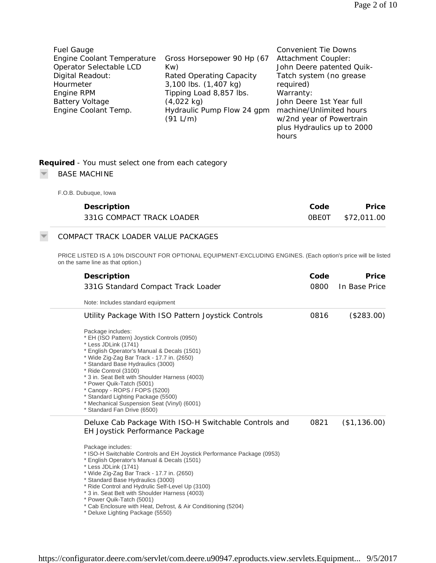| <b>Fuel Gauge</b>          |                            | <b>Convenient Tie Downs</b> |
|----------------------------|----------------------------|-----------------------------|
| Engine Coolant Temperature | Gross Horsepower 90 Hp (67 | Attachment Coupler:         |
| Operator Selectable LCD    | Kw)                        | John Deere patented Quik-   |
| Digital Readout:           | Rated Operating Capacity   | Tatch system (no grease     |
| Hourmeter                  | 3,100 lbs. (1,407 kg)      | required)                   |
| Engine RPM                 | Tipping Load 8,857 lbs.    | Warranty:                   |
| <b>Battery Voltage</b>     | $(4,022 \text{ kg})$       | John Deere 1st Year full    |
| Engine Coolant Temp.       | Hydraulic Pump Flow 24 gpm | machine/Unlimited hours     |
|                            | (91 L/m)                   | w/2nd year of Powertrain    |
|                            |                            | plus Hydraulics up to 2000  |

|                          | Required - You must select one from each category |
|--------------------------|---------------------------------------------------|
| $\overline{\phantom{1}}$ | <b>BASE MACHINE</b>                               |

## F.O.B. Dubuque, Iowa

 $\overline{\mathbf{v}}$ 

| Description               | Code | Price             |
|---------------------------|------|-------------------|
| 331G COMPACT TRACK LOADER |      | 0BE0T \$72,011.00 |

hours

# COMPACT TRACK LOADER VALUE PACKAGES

PRICE LISTED IS A 10% DISCOUNT FOR OPTIONAL EQUIPMENT-EXCLUDING ENGINES. (Each option's price will be listed on the same line as that option.)

| Description                                                                                                                                                                                                                                                                                                                                                                                                                                                                             | Code | Price         |
|-----------------------------------------------------------------------------------------------------------------------------------------------------------------------------------------------------------------------------------------------------------------------------------------------------------------------------------------------------------------------------------------------------------------------------------------------------------------------------------------|------|---------------|
| 331G Standard Compact Track Loader                                                                                                                                                                                                                                                                                                                                                                                                                                                      | 0800 | In Base Price |
| Note: Includes standard equipment                                                                                                                                                                                                                                                                                                                                                                                                                                                       |      |               |
| Utility Package With ISO Pattern Joystick Controls                                                                                                                                                                                                                                                                                                                                                                                                                                      | 0816 | (\$283.00)    |
| Package includes:<br>* EH (ISO Pattern) Joystick Controls (0950)<br>* Less JDLink (1741)<br>* English Operator's Manual & Decals (1501)<br>* Wide Zig-Zag Bar Track - 17.7 in. (2650)<br>* Standard Base Hydraulics (3000)<br>* Ride Control (3100)<br>* 3 in. Seat Belt with Shoulder Harness (4003)<br>* Power Quik-Tatch (5001)<br>* Canopy - ROPS / FOPS (5200)<br>* Standard Lighting Package (5500)<br>* Mechanical Suspension Seat (Vinyl) (6001)<br>* Standard Fan Drive (6500) |      |               |
| Deluxe Cab Package With ISO-H Switchable Controls and<br>EH Joystick Performance Package                                                                                                                                                                                                                                                                                                                                                                                                | 0821 | (\$1,136.00)  |
| Package includes:<br>* ISO-H Switchable Controls and EH Joystick Performance Package (0953)<br>* English Operator's Manual & Decals (1501)<br>* Less JDLink (1741)<br>* Wide Zig-Zag Bar Track - 17.7 in. (2650)<br>* Standard Base Hydraulics (3000)<br>* Ride Control and Hydrulic Self-Level Up (3100)<br>* 3 in. Seat Belt with Shoulder Harness (4003)<br>* Power Quik-Tatch (5001)<br>* Cab Enclosure with Heat, Defrost, & Air Conditioning (5204)                               |      |               |

\* Deluxe Lighting Package (5550)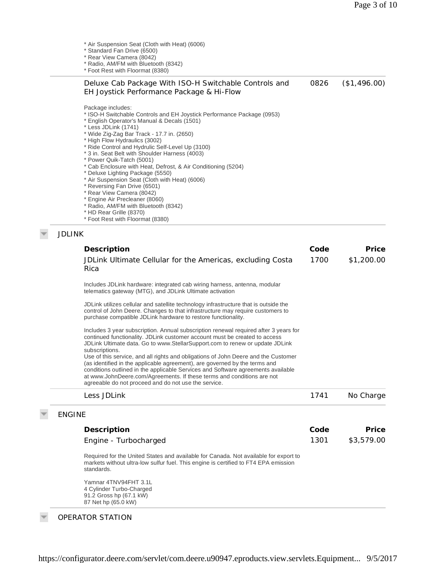\* Air Suspension Seat (Cloth with Heat) (6006)

\* Standard Fan Drive (6500)

- \* Rear View Camera (8042)
- \* Radio, AM/FM with Bluetooth (8342)

\* Foot Rest with Floormat (8380)

#### Deluxe Cab Package With ISO-H Switchable Controls and EH Joystick Performance Package & Hi-Flow 0826 (\$1,496.00)

Package includes:

- \* ISO-H Switchable Controls and EH Joystick Performance Package (0953)
- \* English Operator's Manual & Decals (1501)

\* Less JDLink (1741)

- \* Wide Zig-Zag Bar Track 17.7 in. (2650)
- \* High Flow Hydraulics (3002)
- \* Ride Control and Hydrulic Self-Level Up (3100)
- \* 3 in. Seat Belt with Shoulder Harness (4003)
- \* Power Quik-Tatch (5001)
- \* Cab Enclosure with Heat, Defrost, & Air Conditioning (5204)
- \* Deluxe Lighting Package (5550)
- \* Air Suspension Seat (Cloth with Heat) (6006)
- \* Reversing Fan Drive (6501)
- \* Rear View Camera (8042)
- \* Engine Air Precleaner (8060)
- \* Radio, AM/FM with Bluetooth (8342)
- \* HD Rear Grille (8370) \* Foot Rest with Floormat (8380)
- JDLINK

| Description                                                                                                                                                                                                                                                                                                                                                                            | Code | Price      |
|----------------------------------------------------------------------------------------------------------------------------------------------------------------------------------------------------------------------------------------------------------------------------------------------------------------------------------------------------------------------------------------|------|------------|
| JDLink Ultimate Cellular for the Americas, excluding Costa<br>Rica                                                                                                                                                                                                                                                                                                                     | 1700 | \$1,200.00 |
| Includes JDLink hardware: integrated cab wiring harness, antenna, modular<br>telematics gateway (MTG), and JDLink Ultimate activation                                                                                                                                                                                                                                                  |      |            |
| JDLink utilizes cellular and satellite technology infrastructure that is outside the<br>control of John Deere. Changes to that infrastructure may require customers to<br>purchase compatible JDLink hardware to restore functionality.                                                                                                                                                |      |            |
| Includes 3 year subscription. Annual subscription renewal required after 3 years for<br>continued functionality. JDLink customer account must be created to access<br>JDLink Ultimate data. Go to www.StellarSupport.com to renew or update JDLink<br>subscriptions.                                                                                                                   |      |            |
| Use of this service, and all rights and obligations of John Deere and the Customer<br>(as identified in the applicable agreement), are governed by the terms and<br>conditions outlined in the applicable Services and Software agreements available<br>at www.JohnDeere.com/Agreements. If these terms and conditions are not<br>agreeable do not proceed and do not use the service. |      |            |
| Less JDLink                                                                                                                                                                                                                                                                                                                                                                            | 1741 | No Charge  |
| <b>ENGINE</b>                                                                                                                                                                                                                                                                                                                                                                          |      |            |
| Description                                                                                                                                                                                                                                                                                                                                                                            | Code | Price      |
| Engine - Turbocharged                                                                                                                                                                                                                                                                                                                                                                  | 1301 | \$3,579.00 |
| Required for the United States and available for Canada. Not available for export to<br>markets without ultra-low sulfur fuel. This engine is certified to FT4 EPA emission<br>standards.                                                                                                                                                                                              |      |            |
| Yamnar 4TNV94FHT 3.1L<br>4 Cylinder Turbo-Charged<br>91.2 Gross hp (67.1 kW)<br>87 Net hp (65.0 kW)                                                                                                                                                                                                                                                                                    |      |            |

OPERATOR STATION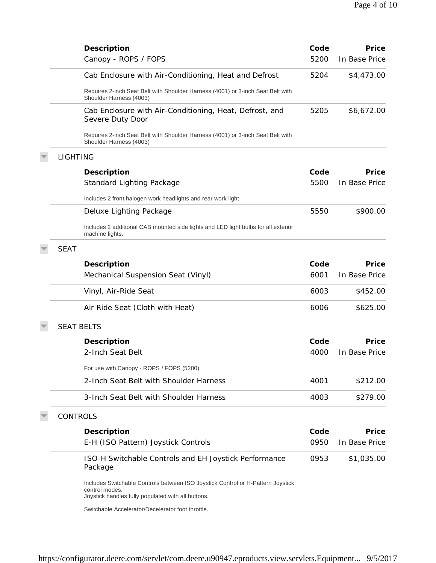|                   | Description                                                                                                                                             | Code | Price         |
|-------------------|---------------------------------------------------------------------------------------------------------------------------------------------------------|------|---------------|
|                   | Canopy - ROPS / FOPS                                                                                                                                    | 5200 | In Base Price |
|                   | Cab Enclosure with Air-Conditioning, Heat and Defrost                                                                                                   | 5204 | \$4,473.00    |
|                   | Requires 2-inch Seat Belt with Shoulder Harness (4001) or 3-inch Seat Belt with<br>Shoulder Harness (4003)                                              |      |               |
|                   | Cab Enclosure with Air-Conditioning, Heat, Defrost, and<br>Severe Duty Door                                                                             | 5205 | \$6,672.00    |
|                   | Requires 2-inch Seat Belt with Shoulder Harness (4001) or 3-inch Seat Belt with<br>Shoulder Harness (4003)                                              |      |               |
| <b>LIGHTING</b>   |                                                                                                                                                         |      |               |
|                   | Description                                                                                                                                             | Code | Price         |
|                   | <b>Standard Lighting Package</b>                                                                                                                        | 5500 | In Base Price |
|                   | Includes 2 front halogen work headlights and rear work light.                                                                                           |      |               |
|                   | Deluxe Lighting Package                                                                                                                                 | 5550 | \$900.00      |
|                   | Includes 2 additional CAB mounted side lights and LED light bulbs for all exterior<br>machine lights.                                                   |      |               |
| <b>SEAT</b>       |                                                                                                                                                         |      |               |
|                   | Description                                                                                                                                             | Code | Price         |
|                   | Mechanical Suspension Seat (Vinyl)                                                                                                                      | 6001 | In Base Price |
|                   | Vinyl, Air-Ride Seat                                                                                                                                    | 6003 | \$452.00      |
|                   | Air Ride Seat (Cloth with Heat)                                                                                                                         | 6006 | \$625.00      |
| <b>SEAT BELTS</b> |                                                                                                                                                         |      |               |
|                   | Description                                                                                                                                             | Code | Price         |
|                   | 2-Inch Seat Belt                                                                                                                                        | 4000 | In Base Price |
|                   | For use with Canopy - ROPS / FOPS (5200)                                                                                                                |      |               |
|                   | 2-Inch Seat Belt with Shoulder Harness                                                                                                                  | 4001 | \$212.00      |
|                   | 3-Inch Seat Belt with Shoulder Harness                                                                                                                  | 4003 | \$279.00      |
| <b>CONTROLS</b>   |                                                                                                                                                         |      |               |
|                   | Description                                                                                                                                             | Code | Price         |
|                   | E-H (ISO Pattern) Joystick Controls                                                                                                                     | 0950 | In Base Price |
|                   | ISO-H Switchable Controls and EH Joystick Performance<br>Package                                                                                        | 0953 | \$1,035.00    |
|                   | Includes Switchable Controls between ISO Joystick Control or H-Pattern Joystick<br>control modes.<br>Joystick handles fully populated with all buttons. |      |               |
|                   | Switchable Accelerator/Decelerator foot throttle.                                                                                                       |      |               |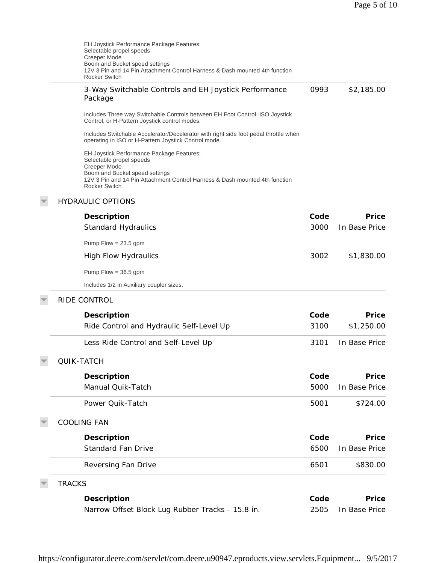| EH Joystick Performance Package Features:<br>Selectable propel speeds<br>Creeper Mode<br>Boom and Bucket speed settings<br>12V 3 Pin and 14 Pin Attachment Control Harness & Dash mounted 4th function<br><b>Rocker Switch</b> |      |               |
|--------------------------------------------------------------------------------------------------------------------------------------------------------------------------------------------------------------------------------|------|---------------|
| 3-Way Switchable Controls and EH Joystick Performance<br>Package                                                                                                                                                               | 0993 | \$2,185.00    |
| Includes Three way Switchable Controls between EH Foot Control, ISO Joystick<br>Control, or H-Pattern Joystick control modes.                                                                                                  |      |               |
| Includes Switchable Accelerator/Decelerator with right side foot pedal throttle when<br>operating in ISO or H-Pattern Joystick Control mode.                                                                                   |      |               |
| EH Joystick Performance Package Features:<br>Selectable propel speeds<br>Creeper Mode<br>Boom and Bucket speed settings<br>12V 3 Pin and 14 Pin Attachment Control Harness & Dash mounted 4th function<br><b>Rocker Switch</b> |      |               |
| <b>HYDRAULIC OPTIONS</b>                                                                                                                                                                                                       |      |               |
| Description                                                                                                                                                                                                                    | Code | Price         |
| <b>Standard Hydraulics</b>                                                                                                                                                                                                     | 3000 | In Base Price |
| Pump Flow = $23.5$ gpm                                                                                                                                                                                                         |      |               |
| <b>High Flow Hydraulics</b>                                                                                                                                                                                                    | 3002 | \$1,830.00    |
| Pump Flow = $36.5$ gpm                                                                                                                                                                                                         |      |               |
| Includes 1/2 in Auxiliary coupler sizes.                                                                                                                                                                                       |      |               |
| RIDE CONTROL                                                                                                                                                                                                                   |      |               |
| Description                                                                                                                                                                                                                    | Code | Price         |
| Ride Control and Hydraulic Self-Level Up                                                                                                                                                                                       | 3100 | \$1,250.00    |
| Less Ride Control and Self-Level Up                                                                                                                                                                                            | 3101 | In Base Price |
| QUIK-TATCH                                                                                                                                                                                                                     |      |               |
| Description                                                                                                                                                                                                                    | Code | Price         |
| Manual Quik-Tatch                                                                                                                                                                                                              | 5000 | In Base Price |
| Power Quik-Tatch                                                                                                                                                                                                               | 5001 | \$724.00      |
| <b>COOLING FAN</b>                                                                                                                                                                                                             |      |               |
| Description                                                                                                                                                                                                                    | Code | Price         |
| <b>Standard Fan Drive</b>                                                                                                                                                                                                      | 6500 | In Base Price |
| Reversing Fan Drive                                                                                                                                                                                                            | 6501 | \$830.00      |
| <b>TRACKS</b>                                                                                                                                                                                                                  |      |               |
| Description                                                                                                                                                                                                                    | Code | Price         |
| Narrow Offset Block Lug Rubber Tracks - 15.8 in.                                                                                                                                                                               | 2505 | In Base Price |

https://configurator.deere.com/servlet/com.deere.u90947.eproducts.view.servlets.Equipment... 9/5/2017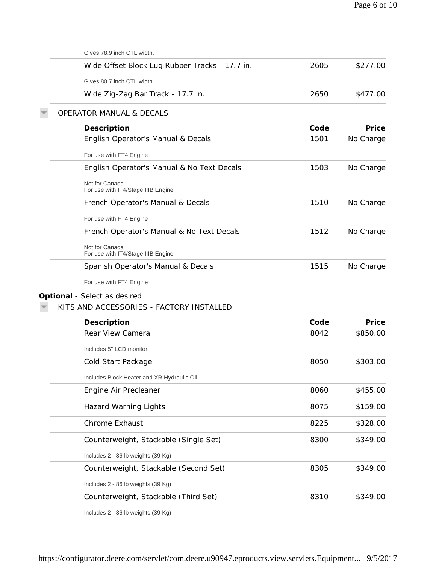| Gives 78.9 inch CTL width.                           |      |           |
|------------------------------------------------------|------|-----------|
| Wide Offset Block Lug Rubber Tracks - 17.7 in.       | 2605 | \$277.00  |
| Gives 80.7 inch CTL width.                           |      |           |
| Wide Zig-Zag Bar Track - 17.7 in.                    | 2650 | \$477.00  |
| <b>OPERATOR MANUAL &amp; DECALS</b>                  |      |           |
| Description                                          | Code | Price     |
| English Operator's Manual & Decals                   | 1501 | No Charge |
| For use with FT4 Engine                              |      |           |
| English Operator's Manual & No Text Decals           | 1503 | No Charge |
| Not for Canada<br>For use with IT4/Stage IIIB Engine |      |           |
| French Operator's Manual & Decals                    | 1510 | No Charge |
| For use with FT4 Engine                              |      |           |
| French Operator's Manual & No Text Decals            | 1512 | No Charge |
| Not for Canada<br>For use with IT4/Stage IIIB Engine |      |           |
| Spanish Operator's Manual & Decals                   | 1515 | No Charge |
| For use with FT4 Engine                              |      |           |
| Optional - Select as desired                         |      |           |
| KITS AND ACCESSORIES - FACTORY INSTALLED             |      |           |
| Description                                          | Code | Price     |
| Rear View Camera                                     | 8042 | \$850.00  |
| Includes 5" LCD monitor.                             |      |           |
| Cold Start Package                                   | 8050 | \$303.00  |
| Includes Block Heater and XR Hydraulic Oil.          |      |           |
| Engine Air Precleaner                                | 8060 | \$455.00  |
| <b>Hazard Warning Lights</b>                         | 8075 | \$159.00  |
| Chrome Exhaust                                       | 8225 | \$328.00  |
| Counterweight, Stackable (Single Set)                | 8300 | \$349.00  |
| Includes 2 - 86 lb weights (39 Kg)                   |      |           |
| Counterweight, Stackable (Second Set)                | 8305 | \$349.00  |
| Includes 2 - 86 lb weights (39 Kg)                   |      |           |
| Counterweight, Stackable (Third Set)                 | 8310 | \$349.00  |
| Includes 2 - 86 lb weights (39 Kg)                   |      |           |
|                                                      |      |           |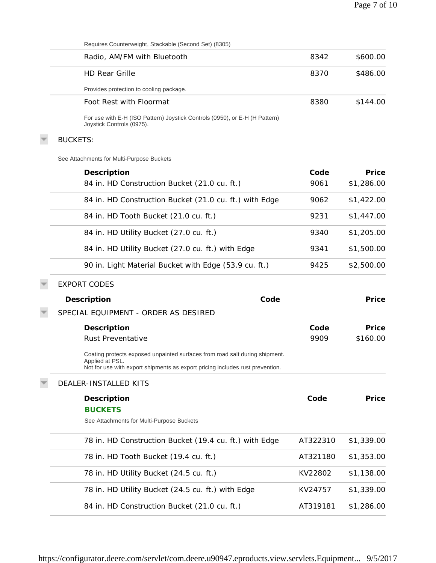| Requires Counterweight, Stackable (Second Set) (8305)                                                                                                                           |          |            |
|---------------------------------------------------------------------------------------------------------------------------------------------------------------------------------|----------|------------|
| Radio, AM/FM with Bluetooth                                                                                                                                                     | 8342     | \$600.00   |
| <b>HD Rear Grille</b>                                                                                                                                                           | 8370     | \$486.00   |
| Provides protection to cooling package.                                                                                                                                         |          |            |
| Foot Rest with Floormat                                                                                                                                                         | 8380     | \$144.00   |
| For use with E-H (ISO Pattern) Joystick Controls (0950), or E-H (H Pattern)<br>Joystick Controls (0975).                                                                        |          |            |
| <b>BUCKETS:</b>                                                                                                                                                                 |          |            |
| See Attachments for Multi-Purpose Buckets                                                                                                                                       |          |            |
| Description                                                                                                                                                                     | Code     | Price      |
| 84 in. HD Construction Bucket (21.0 cu. ft.)                                                                                                                                    | 9061     | \$1,286.00 |
| 84 in. HD Construction Bucket (21.0 cu. ft.) with Edge                                                                                                                          | 9062     | \$1,422.00 |
| 84 in. HD Tooth Bucket (21.0 cu. ft.)                                                                                                                                           | 9231     | \$1,447.00 |
| 84 in. HD Utility Bucket (27.0 cu. ft.)                                                                                                                                         | 9340     | \$1,205.00 |
| 84 in. HD Utility Bucket (27.0 cu. ft.) with Edge                                                                                                                               | 9341     | \$1,500.00 |
| 90 in. Light Material Bucket with Edge (53.9 cu. ft.)                                                                                                                           | 9425     | \$2,500.00 |
| <b>EXPORT CODES</b>                                                                                                                                                             |          |            |
| Code<br>Description                                                                                                                                                             |          | Price      |
| SPECIAL EQUIPMENT - ORDER AS DESIRED                                                                                                                                            |          |            |
| Description                                                                                                                                                                     | Code     | Price      |
| Rust Preventative                                                                                                                                                               | 9909     | \$160.00   |
| Coating protects exposed unpainted surfaces from road salt during shipment.<br>Applied at PSL.<br>Not for use with export shipments as export pricing includes rust prevention. |          |            |
| DEALER-INSTALLED KITS                                                                                                                                                           |          |            |
| Description                                                                                                                                                                     | Code     | Price      |
| <b>BUCKETS</b>                                                                                                                                                                  |          |            |
| See Attachments for Multi-Purpose Buckets                                                                                                                                       |          |            |
| 78 in. HD Construction Bucket (19.4 cu. ft.) with Edge                                                                                                                          | AT322310 | \$1,339.00 |
| 78 in. HD Tooth Bucket (19.4 cu. ft.)                                                                                                                                           | AT321180 | \$1,353.00 |
| 78 in. HD Utility Bucket (24.5 cu. ft.)                                                                                                                                         | KV22802  | \$1,138.00 |
| 78 in. HD Utility Bucket (24.5 cu. ft.) with Edge                                                                                                                               | KV24757  | \$1,339.00 |
| 84 in. HD Construction Bucket (21.0 cu. ft.)                                                                                                                                    | AT319181 | \$1,286.00 |
|                                                                                                                                                                                 |          |            |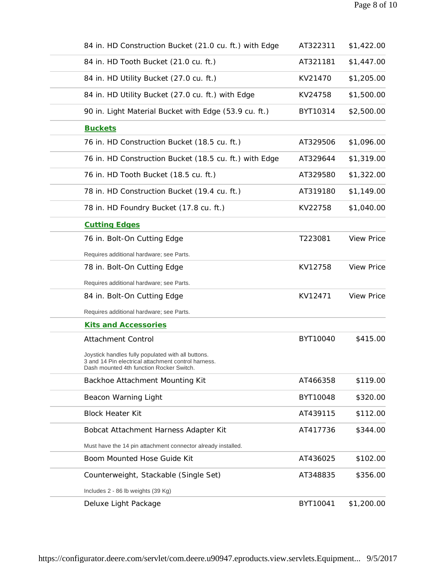| 84 in. HD Construction Bucket (21.0 cu. ft.) with Edge                                                                                                | AT322311 | \$1,422.00        |
|-------------------------------------------------------------------------------------------------------------------------------------------------------|----------|-------------------|
| 84 in. HD Tooth Bucket (21.0 cu. ft.)                                                                                                                 | AT321181 | \$1,447.00        |
| 84 in. HD Utility Bucket (27.0 cu. ft.)                                                                                                               | KV21470  | \$1,205.00        |
| 84 in. HD Utility Bucket (27.0 cu. ft.) with Edge                                                                                                     | KV24758  | \$1,500.00        |
| 90 in. Light Material Bucket with Edge (53.9 cu. ft.)                                                                                                 | BYT10314 | \$2,500.00        |
| <b>Buckets</b>                                                                                                                                        |          |                   |
| 76 in. HD Construction Bucket (18.5 cu. ft.)                                                                                                          | AT329506 | \$1,096.00        |
| 76 in. HD Construction Bucket (18.5 cu. ft.) with Edge                                                                                                | AT329644 | \$1,319.00        |
| 76 in. HD Tooth Bucket (18.5 cu. ft.)                                                                                                                 | AT329580 | \$1,322.00        |
| 78 in. HD Construction Bucket (19.4 cu. ft.)                                                                                                          | AT319180 | \$1,149.00        |
| 78 in. HD Foundry Bucket (17.8 cu. ft.)                                                                                                               | KV22758  | \$1,040.00        |
| <b>Cutting Edges</b>                                                                                                                                  |          |                   |
| 76 in. Bolt-On Cutting Edge                                                                                                                           | T223081  | <b>View Price</b> |
| Requires additional hardware; see Parts.                                                                                                              |          |                   |
| 78 in. Bolt-On Cutting Edge                                                                                                                           | KV12758  | <b>View Price</b> |
| Requires additional hardware; see Parts.                                                                                                              |          |                   |
| 84 in. Bolt-On Cutting Edge                                                                                                                           | KV12471  | <b>View Price</b> |
| Requires additional hardware; see Parts.                                                                                                              |          |                   |
| <b>Kits and Accessories</b>                                                                                                                           |          |                   |
| Attachment Control                                                                                                                                    | BYT10040 | \$415.00          |
| Joystick handles fully populated with all buttons.<br>3 and 14 Pin electrical attachment control harness.<br>Dash mounted 4th function Rocker Switch. |          |                   |
| Backhoe Attachment Mounting Kit                                                                                                                       | AT466358 | \$119.00          |
| Beacon Warning Light                                                                                                                                  | BYT10048 | \$320.00          |
| <b>Block Heater Kit</b>                                                                                                                               | AT439115 | \$112.00          |
| Bobcat Attachment Harness Adapter Kit                                                                                                                 | AT417736 | \$344.00          |
| Must have the 14 pin attachment connector already installed.                                                                                          |          |                   |
| Boom Mounted Hose Guide Kit                                                                                                                           | AT436025 | \$102.00          |
| Counterweight, Stackable (Single Set)                                                                                                                 | AT348835 | \$356.00          |
| Includes 2 - 86 lb weights (39 Kg)                                                                                                                    |          |                   |
| Deluxe Light Package                                                                                                                                  | BYT10041 | \$1,200.00        |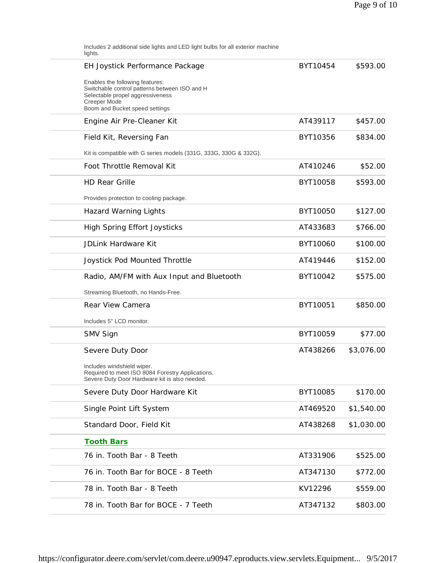| Includes 2 additional side lights and LED light bulbs for all exterior machine<br>lights.                                                                              |          |            |
|------------------------------------------------------------------------------------------------------------------------------------------------------------------------|----------|------------|
| EH Joystick Performance Package                                                                                                                                        | BYT10454 | \$593.00   |
| Enables the following features:<br>Switchable control patterns between ISO and H<br>Selectable propel aggressiveness<br>Creeper Mode<br>Boom and Bucket speed settings |          |            |
| Engine Air Pre-Cleaner Kit                                                                                                                                             | AT439117 | \$457.00   |
| Field Kit, Reversing Fan                                                                                                                                               | BYT10356 | \$834.00   |
| Kit is compatible with G series models (331G, 333G, 330G & 332G).                                                                                                      |          |            |
| Foot Throttle Removal Kit                                                                                                                                              | AT410246 | \$52.00    |
| <b>HD Rear Grille</b>                                                                                                                                                  | BYT10058 | \$593.00   |
| Provides protection to cooling package.                                                                                                                                |          |            |
| Hazard Warning Lights                                                                                                                                                  | BYT10050 | \$127.00   |
| High Spring Effort Joysticks                                                                                                                                           | AT433683 | \$766.00   |
| JDLink Hardware Kit                                                                                                                                                    | BYT10060 | \$100.00   |
| Joystick Pod Mounted Throttle                                                                                                                                          | AT419446 | \$152.00   |
| Radio, AM/FM with Aux Input and Bluetooth                                                                                                                              | BYT10042 | \$575.00   |
| Streaming Bluetooth, no Hands-Free.                                                                                                                                    |          |            |
| Rear View Camera                                                                                                                                                       | BYT10051 | \$850.00   |
| Includes 5" LCD monitor.                                                                                                                                               |          |            |
| SMV Sign                                                                                                                                                               | BYT10059 | \$77.00    |
| Severe Duty Door                                                                                                                                                       | AT438266 | \$3,076.00 |
| Includes windshield wiper.<br>Required to meet ISO 8084 Forestry Applications.<br>Severe Duty Door Hardware kit is also needed.                                        |          |            |
| Severe Duty Door Hardware Kit                                                                                                                                          | BYT10085 | \$170.00   |
| Single Point Lift System                                                                                                                                               | AT469520 | \$1,540.00 |
| Standard Door, Field Kit                                                                                                                                               | AT438268 | \$1,030.00 |
| <b>Tooth Bars</b>                                                                                                                                                      |          |            |
| 76 in. Tooth Bar - 8 Teeth                                                                                                                                             | AT331906 | \$525.00   |
| 76 in. Tooth Bar for BOCE - 8 Teeth                                                                                                                                    | AT347130 | \$772.00   |
| 78 in. Tooth Bar - 8 Teeth                                                                                                                                             | KV12296  | \$559.00   |
| 78 in. Tooth Bar for BOCE - 7 Teeth                                                                                                                                    | AT347132 | \$803.00   |
|                                                                                                                                                                        |          |            |